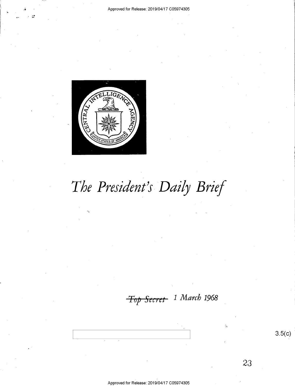#### Approved for Release: 2019/04/17 C05974305



L

.>

# The President's Daily Brief

Top Secret 1 March 1968

 $3.5(c)$ 

Approved for Release: 2019/04/17 C05974305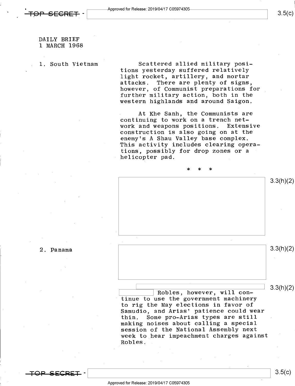DAILY BRIEF 1 MARCH 1968

1. South Vietnam Scattered allied military positions yesterday suffered relatively light rocket, artillery, and mortar attacks. There are plenty of signs, however, of Communist preparations for further military action, both in the western highlands and around Saigon.

> At Khe Sanh, the Communists are continuing to work on a trench net-<br>work and weapons positions. Extensive work and weapons positions. construction is also going on at the enemy's A Shau Valley base complex. This activity includes clearing operations, possibly for drop zones or a helicopter pad.

\* \* \* 3.3(h)(2) 2. Panama  $3.3(11)(2)$ 

> $\overline{\text{Robles}}$ , however, will con-<br> $\overline{\text{3.3(h)(2)}}$ tinue to use the government machinery to rig the May elections in favor of Samudio, and Arias' patience could wear<br>thin. Some pro-Arias types are still Some pro-Arias types are still making noises about calling a special session of the National Assembly next week to\_hear impeachment charges against Robles.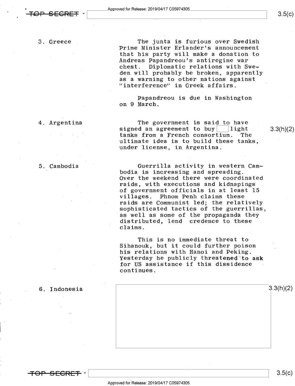3. Greece The junta is furious over Swedish Prime Minister Erlander's announcement<br>that his party will make a donation to Andreas Papandreou's antiregime war chest. Diplomatic relations with Sweden will probably be broken, apparently<br>as a warning to other nations against "interference" in Greek affairs.

> Papandreou is due in Washington on 9 March.

4. Argentina The government is said to have signed an agreement to buy  $\lfloor$  light 3.3(h)(2) tanks from a French consortium. The tanks from a French consortium. ultimate idea is to build these tanks, under license, in Argentina.

5. Cambodia Guerrilla activity in western Cam~ ' bodia is increasing and spreading.

Over the weekend there were coordinated raids, with executions and kidnapings of government officials in at least 15<br>villages. Phnom Penh claims these villages. Phnom Penh claims these<br>raids are Communist led; the relatively sophisticated tactics of the guerrillas, as well as some of the propaganda they distributed, lend credence to these claims.

This is no immediate threat to Sihanouk, but it could further poison his relations with Hanoi and Peking. Yesterday he publicly threatened to ask for US assistance if this dissidence continues.



 $3.5(c)$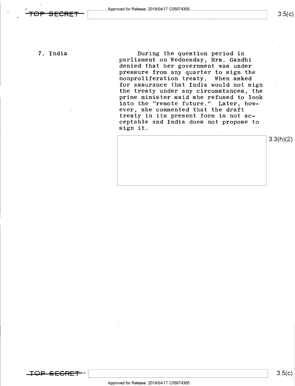<del>TOP SECRET -</del>

 $3.5(c)$ 

7. India

During the question period in parliament on Wednesday, Mrs. Gandhi denied that her government was under pressure from any quarter to sign the nonproliferation treaty. When asked for assurance that India would not sign the treaty under any circumstances; the prime minister said she refused to look into the "remote future." Later, however, she commented that the draft treaty in its present form is not acceptable and India does not propose to sign it.

3.3(h)(2)

<del>OP SECRET</del>

 $\vert$  3.5( $\vert$ )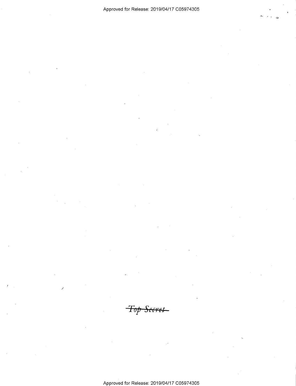Top Secret

Approved for Release: 2019/04/17 C05974305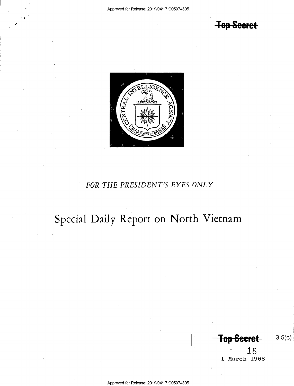**Top Secret** 



### FOR THE PRESIDENT'S EYES ONLY

## Special Daily Report on North Vietnam

**Top Secret** 

 $3.5(c)$ 

 $\frac{16}{1 \text{ March } 1968}$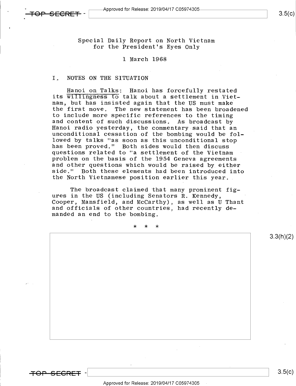Special Daily Report on North Vietnam for the President's Eyes Only

#### 1 March 1968

#### I, NOTES ON THE SITUATION

Hanoi on Talks: Hanoi has forcefully restated its willingness to talk about a settlement in Vietnam, but has insisted again that the US must make the first move. The new statement has been broadened to include more specific references to the timing<br>and content of such discussions. As broadcast by and content of such discussions, As broadcast by Hanoi radio yesterday, the commentary said that an unconditional cessation of the bombing would be followed by talks "as soon as this unconditional stop has been proved." Both sides would then discuss questions related to "a settlement of the Vietnam problem on the basis of the 1954 Geneva agreements and other questions which would be raised by either<br>side." Both these elements had been introduced into the North Vietnamese position earlier this year.

The broadcast claimed that many prominent figures in the US (including Senators R. Kennedy, Cooper, Mansfield, and McCarthy), as well as U Thant and officials of other countries, had recently demanded an end to the bombing.

\* \* \*

 $\overline{O}$   $\overline{O}$   $\overline{O}$   $\overline{O}$   $\overline{O}$   $\overline{O}$   $\overline{O}$   $\overline{O}$   $\overline{O}$   $\overline{O}$   $\overline{O}$   $\overline{O}$   $\overline{O}$   $\overline{O}$   $\overline{O}$   $\overline{O}$   $\overline{O}$   $\overline{O}$   $\overline{O}$   $\overline{O}$   $\overline{O}$   $\overline{O}$   $\overline{O}$   $\overline{O}$   $\overline{$ 

Approved for Release: 2019/O4/17 CO5974305 -

3.3(h)(2)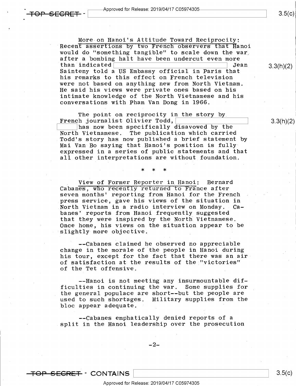More on Hanoi's Attitude Toward Reciprocity; Recent assertions by two French observers that Hanoi would do "something tangible" to scale down the war, after a bombing halt have been undercut even more<br>than indicated than indicated\ \ Jean Sainteny told a US Embassy official in Paris that his remarks to this effect on French television were not based on anything new from North Vietnam. He said his views were private ones based on his intimate knowledge of the North Vietnamese and his conversations with Pham Van Dong in 1966.

The point on reciprocity in the story by French journalist Olivier Todd,\

. \* \* \*

 $\frac{1}{\sqrt{1.5}}$  has now been specifically disavowed by the North Vietnamese. The publication which carried The publication which carried Todd's story has now published a brief statement by Mai Van Bo saying that Hanoi's position is fully~ expressed in a series of public statements and that all other interpretations are without foundation.

View of Former Reporter in Hanoi: Bernard Cabanes, who recently returned to France after seven months' reporting from Hanoi for the French . press service, gave his views of the situation in North Vietnam in a radio interview on Monday. Cabanes' reports from Hanoi frequently suggested that they were inspired by the North Vietnamese. Once home, his views on the situation appear to be slightly more objective.

—-Cabanes claimed he observed no appreciable change in the morale of the people in Hanoi during his tour, except for the fact that there was an air of satisfaction at the results of the "victories" of the Tet offensive.

--Hanoi is not meeting any insurmountable difficulties in continuing the war. Some supplies for the general populace are short--but the people are used to such shortages. Military supplies from the bloc appear adequate.

—-Cabanes emphatically denied reports of a split in the Hanoi leadership over the prosecution

 $\overline{TOP}$  SECRET  $\cdot$  CONTAINS  $\vert$  3.5(c)

<del>)P SFCRFT</del> –

3.3(h)(2)

3.3(h)(2)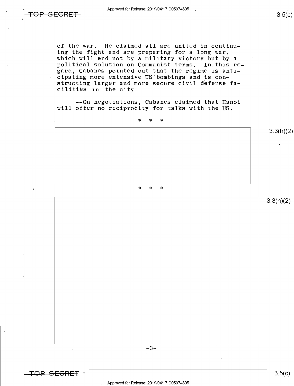of the war. He claimed all are united in continuing the fight and are preparing for a long war, which will end not by a military victory but by <sup>a</sup> political solution on Communist terms. In this regard, Cabanes pointed out that the regime is anticipating more extensive US bombings and is constructing larger and more secure civil defense facilities in the city.

--On negotiations, Cabanes claimed that Hanoi will offer no reciprocity for talks with the US.

 $\star$   $\star$   $\star$   $\star$ . \* \* \* 3.3(h)(2) 3.3(h)(2)

 $-3-$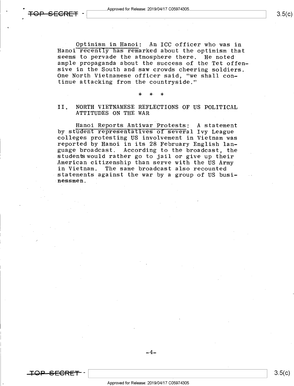\_

Optimism in Hanoi: An ICC officer who was in Hanoi recently has remarked about the optimism that seems to pervade the atmosphere there. He noted ample propaganda about the success of the Tet offensive in the South and saw crowds cheering soldiers. One North Vietnamese officer said, "we shall continue attacking from the countryside."

#### \* \* ' \*

### II. NORTH VIETNAMESE REFLECTIONS OF US POLITICAL<br>ATTITUDES ON THE WAR

Hanoi Reports Antiwar Protests: A statement<br>by student representatives of several Ivy League colleges protesting US involvement in Vietnam was reported by Hanoi in its 28 February English lan-<br>guage broadcast. According to the broadcast, the students would rather go to jail or give up their<br>American citizenship than serve with the US Army<br>in Vietnam. The same broadcast also recounted statements against the war by a group of US businessmen.

-<del>SECRET</del> -

 $3.5(c)$ 

 $-4-$